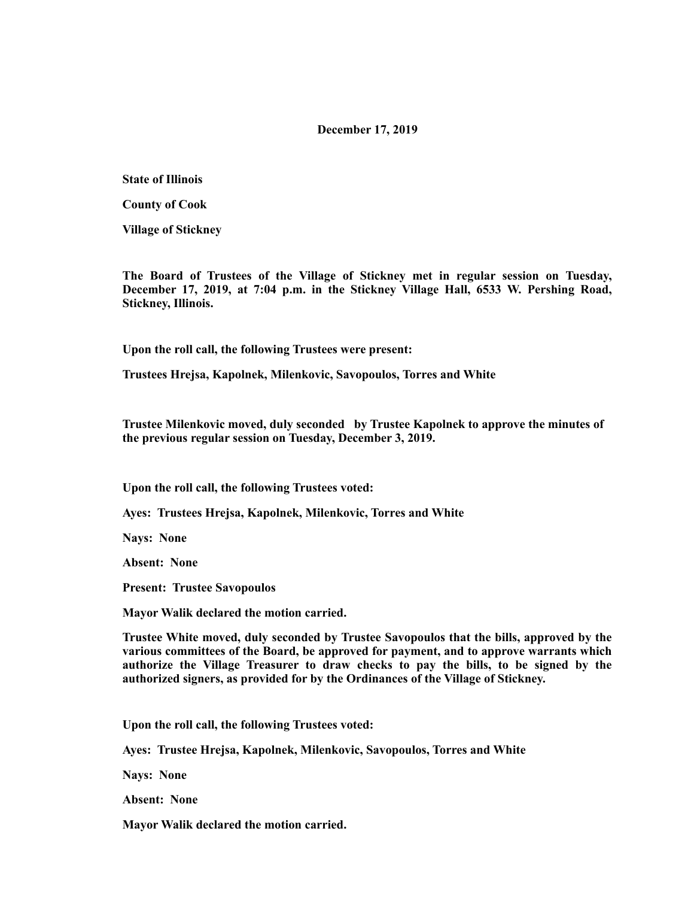## **December 17, 2019**

**State of Illinois** 

**County of Cook** 

**Village of Stickney** 

**The Board of Trustees of the Village of Stickney met in regular session on Tuesday, December 17, 2019, at 7:04 p.m. in the Stickney Village Hall, 6533 W. Pershing Road, Stickney, Illinois.** 

**Upon the roll call, the following Trustees were present:** 

**Trustees Hrejsa, Kapolnek, Milenkovic, Savopoulos, Torres and White** 

**Trustee Milenkovic moved, duly seconded by Trustee Kapolnek to approve the minutes of the previous regular session on Tuesday, December 3, 2019.** 

**Upon the roll call, the following Trustees voted:** 

**Ayes: Trustees Hrejsa, Kapolnek, Milenkovic, Torres and White** 

**Nays: None** 

**Absent: None** 

**Present: Trustee Savopoulos** 

**Mayor Walik declared the motion carried.** 

**Trustee White moved, duly seconded by Trustee Savopoulos that the bills, approved by the various committees of the Board, be approved for payment, and to approve warrants which authorize the Village Treasurer to draw checks to pay the bills, to be signed by the authorized signers, as provided for by the Ordinances of the Village of Stickney.** 

**Upon the roll call, the following Trustees voted:** 

**Ayes: Trustee Hrejsa, Kapolnek, Milenkovic, Savopoulos, Torres and White** 

**Nays: None** 

**Absent: None** 

**Mayor Walik declared the motion carried.**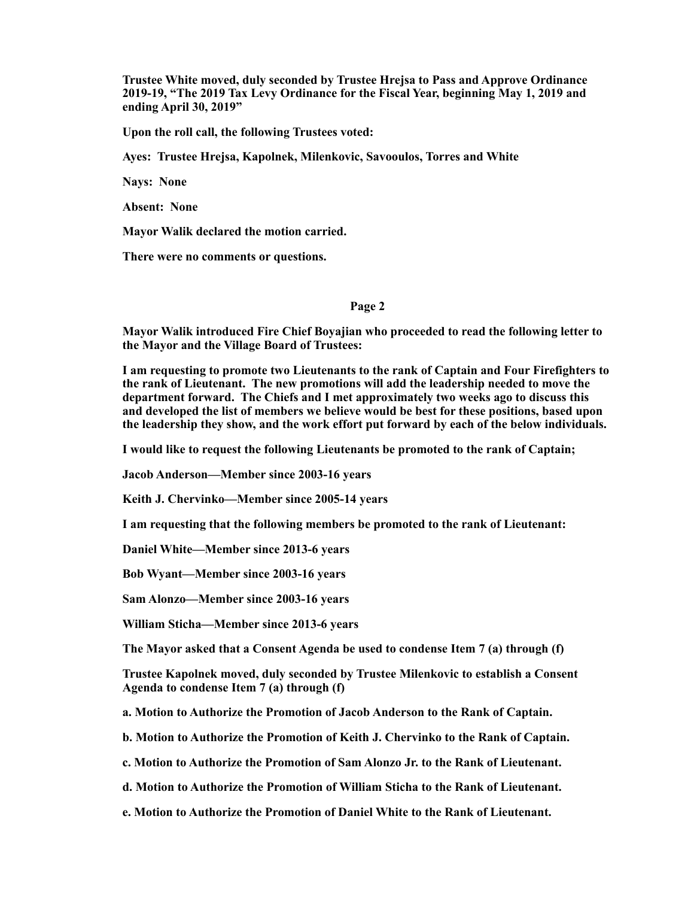**Trustee White moved, duly seconded by Trustee Hrejsa to Pass and Approve Ordinance 2019-19, "The 2019 Tax Levy Ordinance for the Fiscal Year, beginning May 1, 2019 and ending April 30, 2019"** 

**Upon the roll call, the following Trustees voted:** 

**Ayes: Trustee Hrejsa, Kapolnek, Milenkovic, Savooulos, Torres and White** 

**Nays: None** 

**Absent: None** 

**Mayor Walik declared the motion carried.** 

**There were no comments or questions.** 

## **Page 2**

**Mayor Walik introduced Fire Chief Boyajian who proceeded to read the following letter to the Mayor and the Village Board of Trustees:** 

**I am requesting to promote two Lieutenants to the rank of Captain and Four Firefighters to the rank of Lieutenant. The new promotions will add the leadership needed to move the department forward. The Chiefs and I met approximately two weeks ago to discuss this and developed the list of members we believe would be best for these positions, based upon the leadership they show, and the work effort put forward by each of the below individuals.** 

**I would like to request the following Lieutenants be promoted to the rank of Captain;** 

**Jacob Anderson—Member since 2003-16 years** 

**Keith J. Chervinko—Member since 2005-14 years** 

**I am requesting that the following members be promoted to the rank of Lieutenant:** 

**Daniel White—Member since 2013-6 years** 

**Bob Wyant—Member since 2003-16 years** 

**Sam Alonzo—Member since 2003-16 years** 

**William Sticha—Member since 2013-6 years** 

**The Mayor asked that a Consent Agenda be used to condense Item 7 (a) through (f)** 

**Trustee Kapolnek moved, duly seconded by Trustee Milenkovic to establish a Consent Agenda to condense Item 7 (a) through (f)** 

**a. Motion to Authorize the Promotion of Jacob Anderson to the Rank of Captain.** 

**b. Motion to Authorize the Promotion of Keith J. Chervinko to the Rank of Captain.** 

**c. Motion to Authorize the Promotion of Sam Alonzo Jr. to the Rank of Lieutenant.** 

**d. Motion to Authorize the Promotion of William Sticha to the Rank of Lieutenant.** 

**e. Motion to Authorize the Promotion of Daniel White to the Rank of Lieutenant.**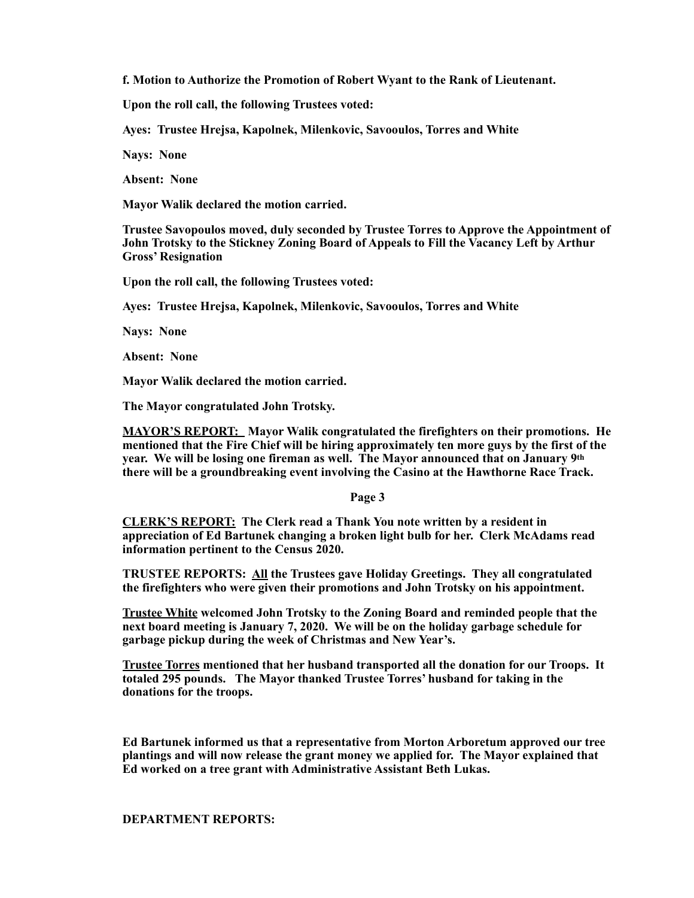**f. Motion to Authorize the Promotion of Robert Wyant to the Rank of Lieutenant.** 

**Upon the roll call, the following Trustees voted:** 

**Ayes: Trustee Hrejsa, Kapolnek, Milenkovic, Savooulos, Torres and White** 

**Nays: None** 

**Absent: None** 

**Mayor Walik declared the motion carried.** 

**Trustee Savopoulos moved, duly seconded by Trustee Torres to Approve the Appointment of John Trotsky to the Stickney Zoning Board of Appeals to Fill the Vacancy Left by Arthur Gross' Resignation** 

**Upon the roll call, the following Trustees voted:** 

**Ayes: Trustee Hrejsa, Kapolnek, Milenkovic, Savooulos, Torres and White** 

**Nays: None** 

**Absent: None** 

**Mayor Walik declared the motion carried.** 

**The Mayor congratulated John Trotsky.** 

**MAYOR'S REPORT: Mayor Walik congratulated the firefighters on their promotions. He mentioned that the Fire Chief will be hiring approximately ten more guys by the first of the year. We will be losing one fireman as well. The Mayor announced that on January 9th there will be a groundbreaking event involving the Casino at the Hawthorne Race Track.** 

**Page 3** 

**CLERK'S REPORT: The Clerk read a Thank You note written by a resident in appreciation of Ed Bartunek changing a broken light bulb for her. Clerk McAdams read information pertinent to the Census 2020.** 

**TRUSTEE REPORTS: All the Trustees gave Holiday Greetings. They all congratulated the firefighters who were given their promotions and John Trotsky on his appointment.** 

**Trustee White welcomed John Trotsky to the Zoning Board and reminded people that the next board meeting is January 7, 2020. We will be on the holiday garbage schedule for garbage pickup during the week of Christmas and New Year's.** 

**Trustee Torres mentioned that her husband transported all the donation for our Troops. It totaled 295 pounds. The Mayor thanked Trustee Torres' husband for taking in the donations for the troops.** 

**Ed Bartunek informed us that a representative from Morton Arboretum approved our tree plantings and will now release the grant money we applied for. The Mayor explained that Ed worked on a tree grant with Administrative Assistant Beth Lukas.** 

## **DEPARTMENT REPORTS:**